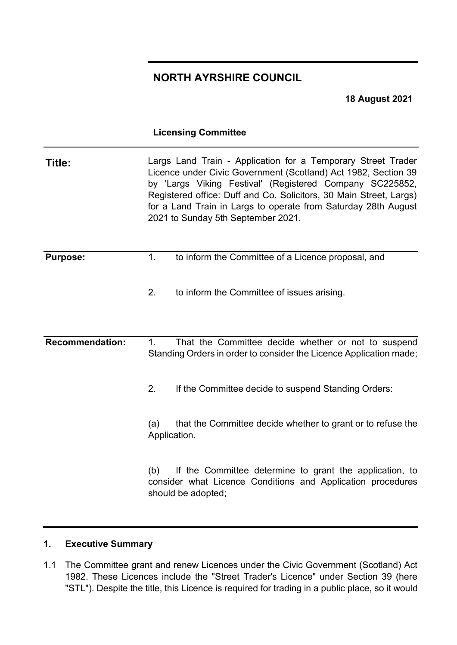# **NORTH AYRSHIRE COUNCIL**

**18 August 2021**

## **Licensing Committee**

| Title:                 | Largs Land Train - Application for a Temporary Street Trader<br>Licence under Civic Government (Scotland) Act 1982, Section 39<br>by 'Largs Viking Festival' (Registered Company SC225852,<br>Registered office: Duff and Co. Solicitors, 30 Main Street, Largs)<br>for a Land Train in Largs to operate from Saturday 28th August<br>2021 to Sunday 5th September 2021. |                                                                                                                                              |
|------------------------|--------------------------------------------------------------------------------------------------------------------------------------------------------------------------------------------------------------------------------------------------------------------------------------------------------------------------------------------------------------------------|----------------------------------------------------------------------------------------------------------------------------------------------|
| <b>Purpose:</b>        | 1.                                                                                                                                                                                                                                                                                                                                                                       | to inform the Committee of a Licence proposal, and                                                                                           |
|                        | 2.                                                                                                                                                                                                                                                                                                                                                                       | to inform the Committee of issues arising.                                                                                                   |
| <b>Recommendation:</b> | $\mathbf 1$ .                                                                                                                                                                                                                                                                                                                                                            | That the Committee decide whether or not to suspend<br>Standing Orders in order to consider the Licence Application made;                    |
|                        | 2.                                                                                                                                                                                                                                                                                                                                                                       | If the Committee decide to suspend Standing Orders:                                                                                          |
|                        | (a)<br>Application.                                                                                                                                                                                                                                                                                                                                                      | that the Committee decide whether to grant or to refuse the                                                                                  |
|                        | (b)                                                                                                                                                                                                                                                                                                                                                                      | If the Committee determine to grant the application, to<br>consider what Licence Conditions and Application procedures<br>should be adopted; |

## **1. Executive Summary**

1.1 The Committee grant and renew Licences under the Civic Government (Scotland) Act 1982. These Licences include the "Street Trader's Licence" under Section 39 (here "STL"). Despite the title, this Licence is required for trading in a public place, so it would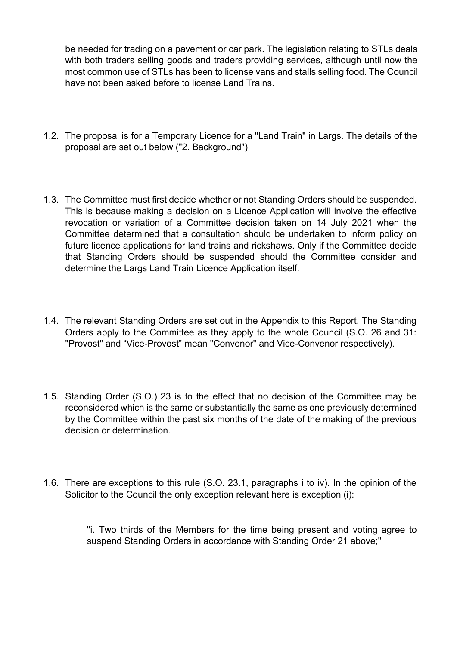be needed for trading on a pavement or car park. The legislation relating to STLs deals with both traders selling goods and traders providing services, although until now the most common use of STLs has been to license vans and stalls selling food. The Council have not been asked before to license Land Trains.

- 1.2. The proposal is for a Temporary Licence for a "Land Train" in Largs. The details of the proposal are set out below ("2. Background")
- 1.3. The Committee must first decide whether or not Standing Orders should be suspended. This is because making a decision on a Licence Application will involve the effective revocation or variation of a Committee decision taken on 14 July 2021 when the Committee determined that a consultation should be undertaken to inform policy on future licence applications for land trains and rickshaws. Only if the Committee decide that Standing Orders should be suspended should the Committee consider and determine the Largs Land Train Licence Application itself.
- 1.4. The relevant Standing Orders are set out in the Appendix to this Report. The Standing Orders apply to the Committee as they apply to the whole Council (S.O. 26 and 31: "Provost" and "Vice-Provost" mean "Convenor" and Vice-Convenor respectively).
- 1.5. Standing Order (S.O.) 23 is to the effect that no decision of the Committee may be reconsidered which is the same or substantially the same as one previously determined by the Committee within the past six months of the date of the making of the previous decision or determination.
- 1.6. There are exceptions to this rule (S.O. 23.1, paragraphs i to iv). In the opinion of the Solicitor to the Council the only exception relevant here is exception (i):

"i. Two thirds of the Members for the time being present and voting agree to suspend Standing Orders in accordance with Standing Order 21 above;"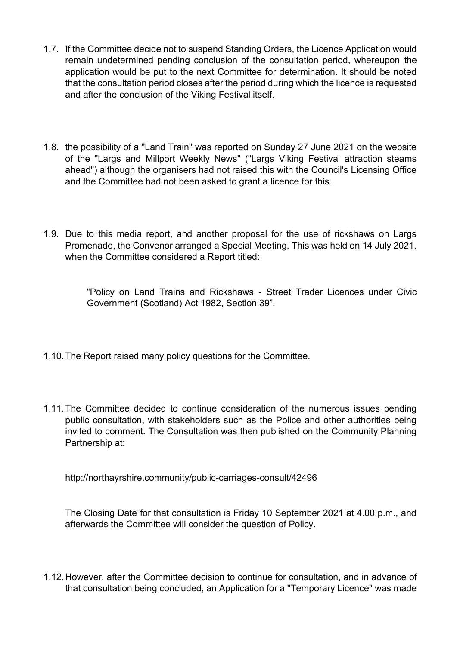- 1.7. If the Committee decide not to suspend Standing Orders, the Licence Application would remain undetermined pending conclusion of the consultation period, whereupon the application would be put to the next Committee for determination. It should be noted that the consultation period closes after the period during which the licence is requested and after the conclusion of the Viking Festival itself.
- 1.8. the possibility of a "Land Train" was reported on Sunday 27 June 2021 on the website of the "Largs and Millport Weekly News" ("Largs Viking Festival attraction steams ahead") although the organisers had not raised this with the Council's Licensing Office and the Committee had not been asked to grant a licence for this.
- 1.9. Due to this media report, and another proposal for the use of rickshaws on Largs Promenade, the Convenor arranged a Special Meeting. This was held on 14 July 2021, when the Committee considered a Report titled:

"Policy on Land Trains and Rickshaws - Street Trader Licences under Civic Government (Scotland) Act 1982, Section 39".

- 1.10. The Report raised many policy questions for the Committee.
- 1.11. The Committee decided to continue consideration of the numerous issues pending public consultation, with stakeholders such as the Police and other authorities being invited to comment. The Consultation was then published on the Community Planning Partnership at:

http://northayrshire.community/public-carriages-consult/42496

The Closing Date for that consultation is Friday 10 September 2021 at 4.00 p.m., and afterwards the Committee will consider the question of Policy.

1.12. However, after the Committee decision to continue for consultation, and in advance of that consultation being concluded, an Application for a "Temporary Licence" was made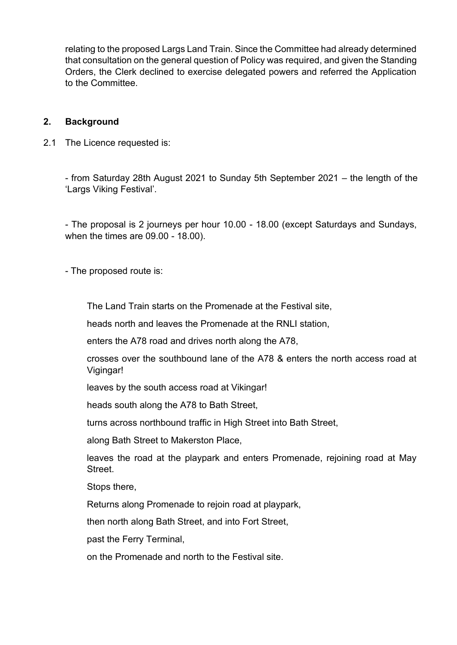relating to the proposed Largs Land Train. Since the Committee had already determined that consultation on the general question of Policy was required, and given the Standing Orders, the Clerk declined to exercise delegated powers and referred the Application to the Committee.

### **2. Background**

2.1 The Licence requested is:

- from Saturday 28th August 2021 to Sunday 5th September 2021 – the length of the 'Largs Viking Festival'.

- The proposal is 2 journeys per hour 10.00 - 18.00 (except Saturdays and Sundays, when the times are 09.00 - 18.00).

- The proposed route is:

The Land Train starts on the Promenade at the Festival site,

heads north and leaves the Promenade at the RNLI station,

enters the A78 road and drives north along the A78,

crosses over the southbound lane of the A78 & enters the north access road at Vigingar!

leaves by the south access road at Vikingar!

heads south along the A78 to Bath Street,

turns across northbound traffic in High Street into Bath Street,

along Bath Street to Makerston Place,

leaves the road at the playpark and enters Promenade, rejoining road at May Street.

Stops there,

Returns along Promenade to rejoin road at playpark,

then north along Bath Street, and into Fort Street,

past the Ferry Terminal,

on the Promenade and north to the Festival site.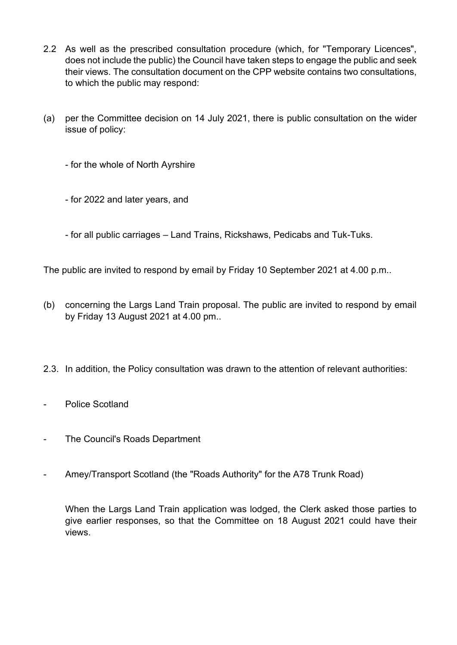- 2.2 As well as the prescribed consultation procedure (which, for "Temporary Licences", does not include the public) the Council have taken steps to engage the public and seek their views. The consultation document on the CPP website contains two consultations, to which the public may respond:
- (a) per the Committee decision on 14 July 2021, there is public consultation on the wider issue of policy:
	- for the whole of North Ayrshire
	- for 2022 and later years, and
	- for all public carriages Land Trains, Rickshaws, Pedicabs and Tuk-Tuks.

The public are invited to respond by email by Friday 10 September 2021 at 4.00 p.m..

- (b) concerning the Largs Land Train proposal. The public are invited to respond by email by Friday 13 August 2021 at 4.00 pm..
- 2.3. In addition, the Policy consultation was drawn to the attention of relevant authorities:
- Police Scotland
- The Council's Roads Department
- Amey/Transport Scotland (the "Roads Authority" for the A78 Trunk Road)

When the Largs Land Train application was lodged, the Clerk asked those parties to give earlier responses, so that the Committee on 18 August 2021 could have their views.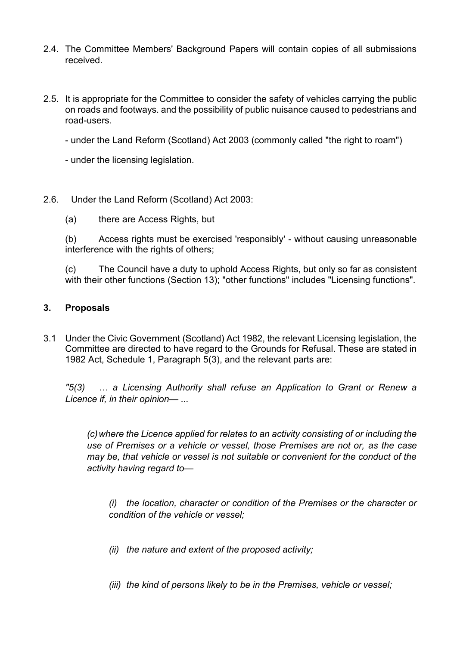- 2.4. The Committee Members' Background Papers will contain copies of all submissions received.
- 2.5. It is appropriate for the Committee to consider the safety of vehicles carrying the public on roads and footways. and the possibility of public nuisance caused to pedestrians and road-users.
	- under the Land Reform (Scotland) Act 2003 (commonly called "the right to roam")
	- under the licensing legislation.
- 2.6. Under the Land Reform (Scotland) Act 2003:
	- (a) there are Access Rights, but

(b) Access rights must be exercised 'responsibly' - without causing unreasonable interference with the rights of others;

(c) The Council have a duty to uphold Access Rights, but only so far as consistent with their other functions (Section 13); "other functions" includes "Licensing functions".

## **3. Proposals**

3.1 Under the Civic Government (Scotland) Act 1982, the relevant Licensing legislation, the Committee are directed to have regard to the Grounds for Refusal. These are stated in 1982 Act, Schedule 1, Paragraph 5(3), and the relevant parts are:

*"5(3) … a Licensing Authority shall refuse an Application to Grant or Renew a Licence if, in their opinion— ...* 

*(c) where the Licence applied for relates to an activity consisting of or including the use of Premises or a vehicle or vessel, those Premises are not or, as the case may be, that vehicle or vessel is not suitable or convenient for the conduct of the activity having regard to—*

*(i) the location, character or condition of the Premises or the character or condition of the vehicle or vessel;* 

- *(ii) the nature and extent of the proposed activity;*
- *(iii) the kind of persons likely to be in the Premises, vehicle or vessel;*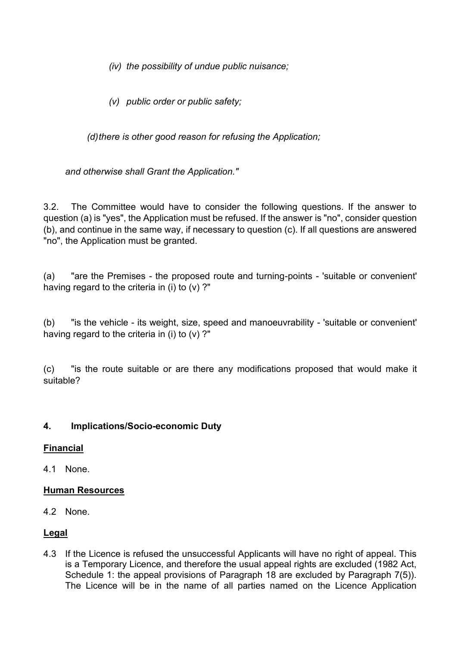*(iv) the possibility of undue public nuisance;* 

*(v) public order or public safety;* 

*(d) there is other good reason for refusing the Application;* 

*and otherwise shall Grant the Application."* 

3.2. The Committee would have to consider the following questions. If the answer to question (a) is "yes", the Application must be refused. If the answer is "no", consider question (b), and continue in the same way, if necessary to question (c). If all questions are answered "no", the Application must be granted.

(a) "are the Premises - the proposed route and turning-points - 'suitable or convenient' having regard to the criteria in (i) to  $(v)$ ?"

(b) "is the vehicle - its weight, size, speed and manoeuvrability - 'suitable or convenient' having regard to the criteria in (i) to (v) ?"

(c) "is the route suitable or are there any modifications proposed that would make it suitable?

## **4. Implications/Socio-economic Duty**

## **Financial**

4.1 None.

## **Human Resources**

4.2 None.

## **Legal**

4.3 If the Licence is refused the unsuccessful Applicants will have no right of appeal. This is a Temporary Licence, and therefore the usual appeal rights are excluded (1982 Act, Schedule 1: the appeal provisions of Paragraph 18 are excluded by Paragraph 7(5)). The Licence will be in the name of all parties named on the Licence Application